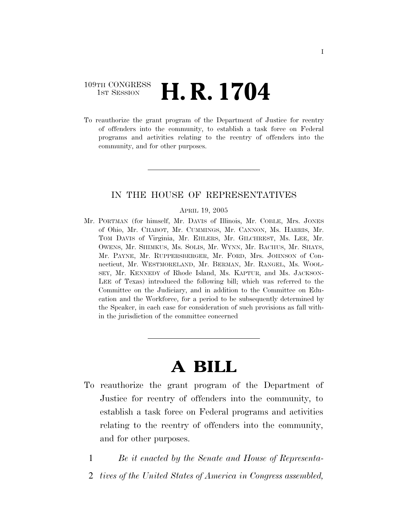### 109TH CONGRESS <sup>TH CONGRESS</sup> **H. R. 1704**

To reauthorize the grant program of the Department of Justice for reentry of offenders into the community, to establish a task force on Federal programs and activities relating to the reentry of offenders into the community, and for other purposes.

#### IN THE HOUSE OF REPRESENTATIVES

#### APRIL 19, 2005

Mr. PORTMAN (for himself, Mr. DAVIS of Illinois, Mr. COBLE, Mrs. JONES of Ohio, Mr. CHABOT, Mr. CUMMINGS, Mr. CANNON, Ms. HARRIS, Mr. TOM DAVIS of Virginia, Mr. EHLERS, Mr. GILCHREST, Ms. LEE, Mr. OWENS, Mr. SHIMKUS, Ms. SOLIS, Mr. WYNN, Mr. BACHUS, Mr. SHAYS, Mr. PAYNE, Mr. RUPPERSBERGER, Mr. FORD, Mrs. JOHNSON of Connecticut, Mr. WESTMORELAND, Mr. BERMAN, Mr. RANGEL, Ms. WOOL-SEY, Mr. KENNEDY of Rhode Island, Ms. KAPTUR, and Ms. JACKSON-LEE of Texas) introduced the following bill; which was referred to the Committee on the Judiciary, and in addition to the Committee on Education and the Workforce, for a period to be subsequently determined by the Speaker, in each case for consideration of such provisions as fall within the jurisdiction of the committee concerned

# **A BILL**

- To reauthorize the grant program of the Department of Justice for reentry of offenders into the community, to establish a task force on Federal programs and activities relating to the reentry of offenders into the community, and for other purposes.
	- 1 *Be it enacted by the Senate and House of Representa-*
	- 2 *tives of the United States of America in Congress assembled,*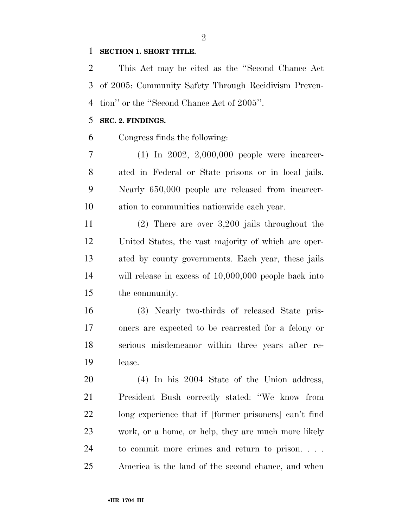#### **SECTION 1. SHORT TITLE.**

 This Act may be cited as the ''Second Chance Act of 2005: Community Safety Through Recidivism Preven-tion'' or the ''Second Chance Act of 2005''.

#### **SEC. 2. FINDINGS.**

Congress finds the following:

 (1) In 2002, 2,000,000 people were incarcer- ated in Federal or State prisons or in local jails. Nearly 650,000 people are released from incarcer-ation to communities nationwide each year.

 (2) There are over 3,200 jails throughout the United States, the vast majority of which are oper- ated by county governments. Each year, these jails will release in excess of 10,000,000 people back into the community.

 (3) Nearly two-thirds of released State pris- oners are expected to be rearrested for a felony or serious misdemeanor within three years after re-lease.

 (4) In his 2004 State of the Union address, President Bush correctly stated: ''We know from long experience that if [former prisoners] can't find work, or a home, or help, they are much more likely to commit more crimes and return to prison. . . . America is the land of the second chance, and when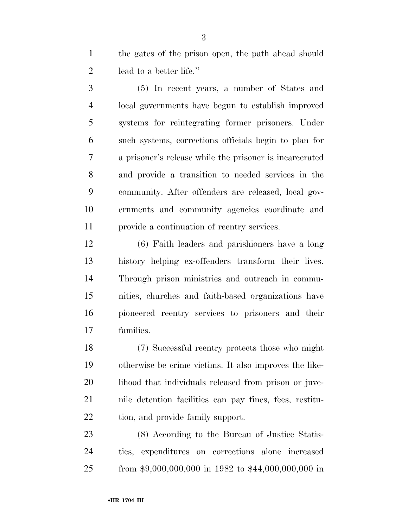the gates of the prison open, the path ahead should lead to a better life.''

 (5) In recent years, a number of States and local governments have begun to establish improved systems for reintegrating former prisoners. Under such systems, corrections officials begin to plan for a prisoner's release while the prisoner is incarcerated and provide a transition to needed services in the community. After offenders are released, local gov- ernments and community agencies coordinate and provide a continuation of reentry services.

 (6) Faith leaders and parishioners have a long history helping ex-offenders transform their lives. Through prison ministries and outreach in commu- nities, churches and faith-based organizations have pioneered reentry services to prisoners and their families.

 (7) Successful reentry protects those who might otherwise be crime victims. It also improves the like-20 lihood that individuals released from prison or juve- nile detention facilities can pay fines, fees, restitu-tion, and provide family support.

 (8) According to the Bureau of Justice Statis- tics, expenditures on corrections alone increased from \$9,000,000,000 in 1982 to \$44,000,000,000 in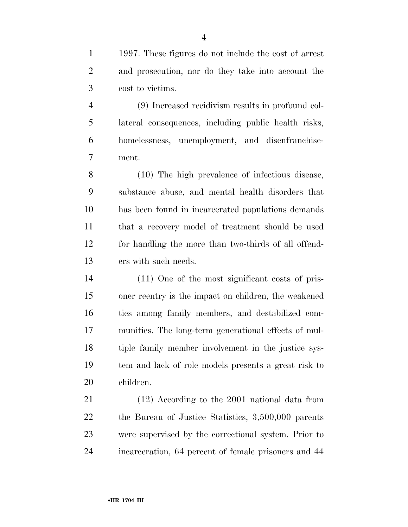1997. These figures do not include the cost of arrest and prosecution, nor do they take into account the cost to victims.

 (9) Increased recidivism results in profound col- lateral consequences, including public health risks, homelessness, unemployment, and disenfranchise-ment.

 (10) The high prevalence of infectious disease, substance abuse, and mental health disorders that has been found in incarcerated populations demands that a recovery model of treatment should be used for handling the more than two-thirds of all offend-ers with such needs.

 (11) One of the most significant costs of pris- oner reentry is the impact on children, the weakened ties among family members, and destabilized com- munities. The long-term generational effects of mul- tiple family member involvement in the justice sys- tem and lack of role models presents a great risk to children.

 (12) According to the 2001 national data from the Bureau of Justice Statistics, 3,500,000 parents were supervised by the correctional system. Prior to incarceration, 64 percent of female prisoners and 44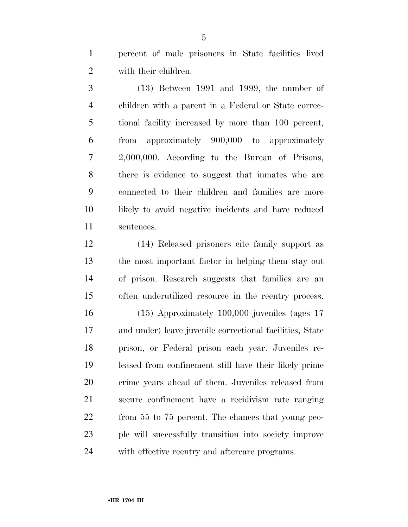percent of male prisoners in State facilities lived with their children.

 (13) Between 1991 and 1999, the number of children with a parent in a Federal or State correc- tional facility increased by more than 100 percent, from approximately 900,000 to approximately 2,000,000. According to the Bureau of Prisons, there is evidence to suggest that inmates who are connected to their children and families are more likely to avoid negative incidents and have reduced sentences.

 (14) Released prisoners cite family support as the most important factor in helping them stay out of prison. Research suggests that families are an often underutilized resource in the reentry process.

 (15) Approximately 100,000 juveniles (ages 17 and under) leave juvenile correctional facilities, State prison, or Federal prison each year. Juveniles re- leased from confinement still have their likely prime crime years ahead of them. Juveniles released from secure confinement have a recidivism rate ranging from 55 to 75 percent. The chances that young peo- ple will successfully transition into society improve with effective reentry and aftercare programs.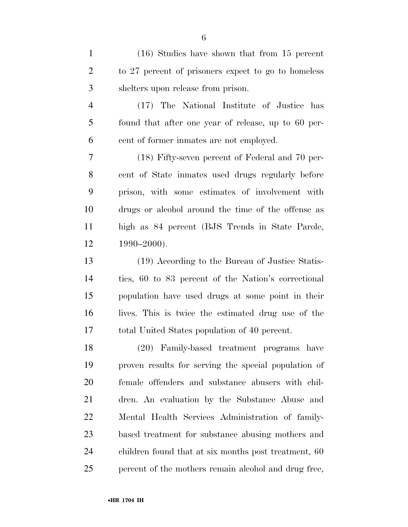(16) Studies have shown that from 15 percent to 27 percent of prisoners expect to go to homeless shelters upon release from prison. (17) The National Institute of Justice has found that after one year of release, up to 60 per- cent of former inmates are not employed. (18) Fifty-seven percent of Federal and 70 per- cent of State inmates used drugs regularly before prison, with some estimates of involvement with drugs or alcohol around the time of the offense as high as 84 percent (BJS Trends in State Parole, 1990–2000). (19) According to the Bureau of Justice Statis-tics, 60 to 83 percent of the Nation's correctional

 population have used drugs at some point in their lives. This is twice the estimated drug use of the total United States population of 40 percent.

 (20) Family-based treatment programs have proven results for serving the special population of female offenders and substance abusers with chil- dren. An evaluation by the Substance Abuse and Mental Health Services Administration of family- based treatment for substance abusing mothers and children found that at six months post treatment, 60 25 percent of the mothers remain alcohol and drug free,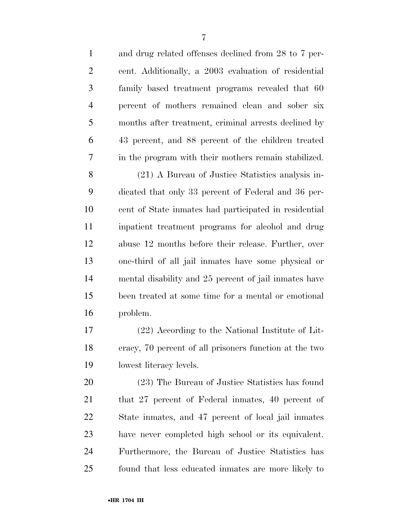| $\mathbf{1}$   | and drug related offenses declined from 28 to 7 per-   |
|----------------|--------------------------------------------------------|
| $\overline{2}$ | cent. Additionally, a 2003 evaluation of residential   |
| 3              | family based treatment programs revealed that 60       |
| $\overline{4}$ | percent of mothers remained clean and sober six        |
| 5              | months after treatment, criminal arrests declined by   |
| 6              | 43 percent, and 88 percent of the children treated     |
| 7              | in the program with their mothers remain stabilized.   |
| 8              | (21) A Bureau of Justice Statistics analysis in-       |
| 9              | dicated that only 33 percent of Federal and 36 per-    |
| 10             | cent of State inmates had participated in residential  |
| 11             | inpatient treatment programs for alcohol and drug      |
| 12             | abuse 12 months before their release. Further, over    |
| 13             | one-third of all jail inmates have some physical or    |
| 14             | mental disability and 25 percent of jail inmates have  |
| 15             | been treated at some time for a mental or emotional    |
| 16             | problem.                                               |
| 17             | (22) According to the National Institute of Lit-       |
| 18             | eracy, 70 percent of all prisoners function at the two |
| 19             | lowest literacy levels.                                |
| 20             | (23) The Bureau of Justice Statistics has found        |
| 21             | that 27 percent of Federal inmates, 40 percent of      |
| 22             | State inmates, and 47 percent of local jail inmates    |
| 23             | have never completed high school or its equivalent.    |
| 24             | Furthermore, the Bureau of Justice Statistics has      |
| 25             | found that less educated in ates are more likely to    |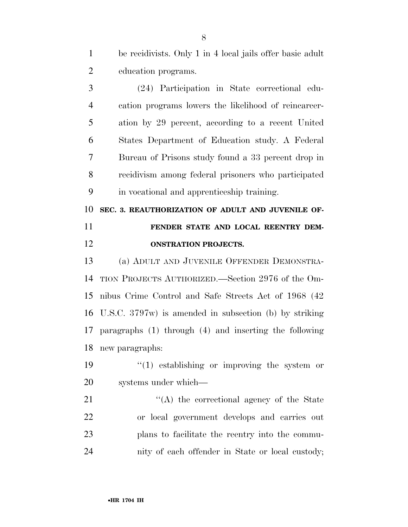be recidivists. Only 1 in 4 local jails offer basic adult education programs.

 (24) Participation in State correctional edu- cation programs lowers the likelihood of reincarcer- ation by 29 percent, according to a recent United States Department of Education study. A Federal Bureau of Prisons study found a 33 percent drop in recidivism among federal prisoners who participated in vocational and apprenticeship training.

 **SEC. 3. REAUTHORIZATION OF ADULT AND JUVENILE OF- FENDER STATE AND LOCAL REENTRY DEM-ONSTRATION PROJECTS.** 

 (a) ADULT AND JUVENILE OFFENDER DEMONSTRA- TION PROJECTS AUTHORIZED.—Section 2976 of the Om- nibus Crime Control and Safe Streets Act of 1968 (42 U.S.C. 3797w) is amended in subsection (b) by striking paragraphs (1) through (4) and inserting the following new paragraphs:

19  $\frac{1}{2}$  (1) establishing or improving the system or systems under which—

21 ''(A) the correctional agency of the State or local government develops and carries out plans to facilitate the reentry into the commu-nity of each offender in State or local custody;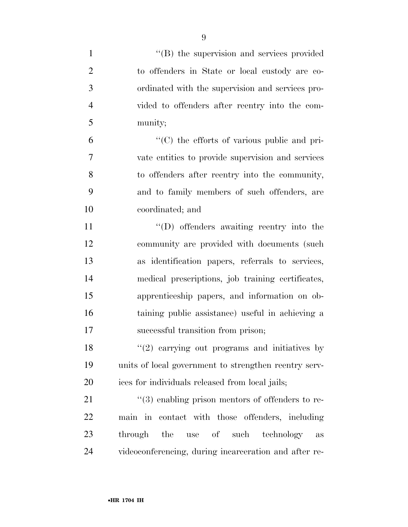| $\mathbf{1}$   | "(B) the supervision and services provided            |
|----------------|-------------------------------------------------------|
| $\overline{2}$ | to offenders in State or local custody are co-        |
| 3              | ordinated with the supervision and services pro-      |
| $\overline{4}$ | vided to offenders after reentry into the com-        |
| 5              | munity;                                               |
| 6              | "(C) the efforts of various public and pri-           |
| 7              | vate entities to provide supervision and services     |
| 8              | to offenders after reentry into the community,        |
| 9              | and to family members of such offenders, are          |
| 10             | coordinated; and                                      |
| 11             | $\lq\lq$ . Offenders awaiting reentry into the        |
| 12             | community are provided with documents (such           |
| 13             | as identification papers, referrals to services,      |
| 14             | medical prescriptions, job training certificates,     |
| 15             | apprenticeship papers, and information on ob-         |
| 16             | taining public assistance) useful in achieving a      |
| 17             | successful transition from prison;                    |
| 18             | $f'(2)$ carrying out programs and initiatives by      |
| 19             | units of local government to strengthen reentry serv- |
| 20             | ices for individuals released from local jails;       |
| 21             | $\lq(3)$ enabling prison mentors of offenders to re-  |
| 22             | main in contact with those offenders, including       |
| 23             | through the use of such technology<br>$\rm as$        |
| 24             | videoconferencing, during incarceration and after re- |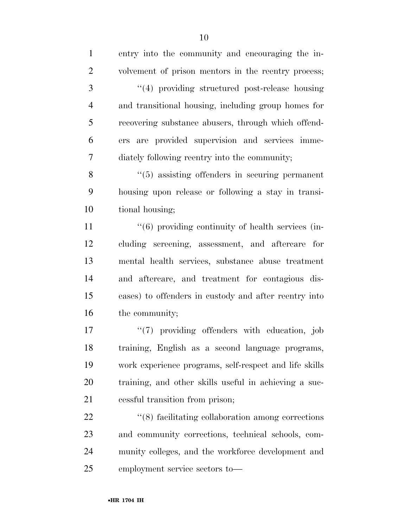| $\mathbf{1}$   | entry into the community and encouraging the in-                  |
|----------------|-------------------------------------------------------------------|
| $\overline{2}$ | volvement of prison mentors in the reentry process;               |
| 3              | "(4) providing structured post-release housing                    |
| $\overline{4}$ | and transitional housing, including group homes for               |
| 5              | recovering substance abusers, through which offend-               |
| 6              | ers are provided supervision and services imme-                   |
| 7              | diately following reentry into the community;                     |
| 8              | $\cdot\cdot$ (5) assisting offenders in securing permanent        |
| 9              | housing upon release or following a stay in transi-               |
| 10             | tional housing;                                                   |
| 11             | $\cdot\cdot\cdot(6)$ providing continuity of health services (in- |
| 12             | cluding screening, assessment, and aftercare for                  |
| 13             | mental health services, substance abuse treatment                 |
| 14             | and aftercare, and treatment for contagious dis-                  |
| 15             | eases) to offenders in custody and after reentry into             |
| 16             | the community;                                                    |
| 17             | "(7) providing offenders with education, job                      |
| 18             | training, English as a second language programs,                  |
| 19             | work experience programs, self-respect and life skills            |
| 20             | training, and other skills useful in achieving a suc-             |
| 21             | cessful transition from prison;                                   |
| 22             | $\cdot$ (8) facilitating collaboration among corrections          |
| 23             | and community corrections, technical schools, com-                |
| 24             | munity colleges, and the workforce development and                |

employment service sectors to—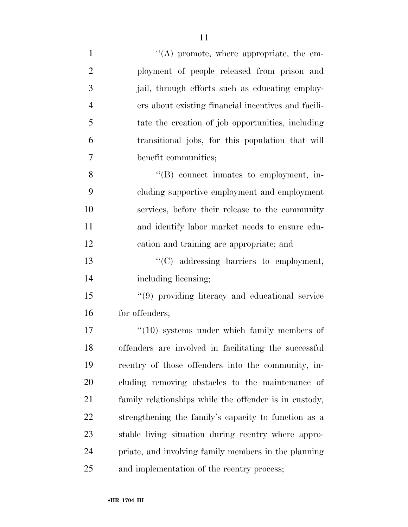| $\mathbf{1}$   | "(A) promote, where appropriate, the em-               |
|----------------|--------------------------------------------------------|
| $\overline{2}$ | ployment of people released from prison and            |
| 3              | jail, through efforts such as educating employ-        |
| $\overline{4}$ | ers about existing financial incentives and facili-    |
| 5              | tate the creation of job opportunities, including      |
| 6              | transitional jobs, for this population that will       |
| 7              | benefit communities;                                   |
| 8              | $\lq\lq (B)$ connect inmates to employment, in-        |
| 9              | cluding supportive employment and employment           |
| 10             | services, before their release to the community        |
| 11             | and identify labor market needs to ensure edu-         |
| 12             | cation and training are appropriate; and               |
| 13             | "(C) addressing barriers to employment,                |
| 14             | including licensing;                                   |
| 15             | "(9) providing literacy and educational service        |
| 16             | for offenders;                                         |
| 17             | $\cdot$ (10) systems under which family members of     |
| 18             | offenders are involved in facilitating the successful  |
| 19             | reentry of those offenders into the community, in-     |
| 20             | cluding removing obstacles to the maintenance of       |
| 21             | family relationships while the offender is in custody, |
| 22             | strengthening the family's capacity to function as a   |
| 23             | stable living situation during reentry where appro-    |
| 24             | priate, and involving family members in the planning   |
| 25             | and implementation of the reentry process;             |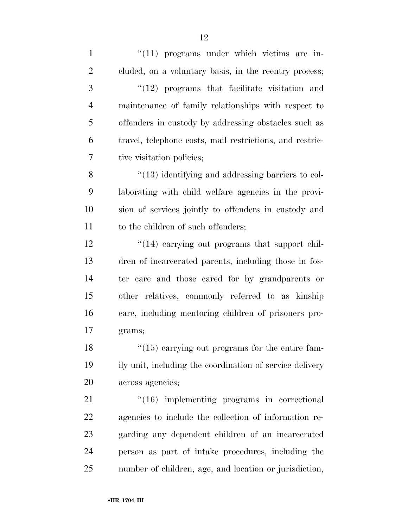1 ''(11) programs under which victims are in- cluded, on a voluntary basis, in the reentry process; 3 "(12) programs that facilitate visitation and maintenance of family relationships with respect to offenders in custody by addressing obstacles such as travel, telephone costs, mail restrictions, and restric- tive visitation policies; 8 "(13) identifying and addressing barriers to col- laborating with child welfare agencies in the provi- sion of services jointly to offenders in custody and 11 to the children of such offenders; 12 ''(14) carrying out programs that support chil- dren of incarcerated parents, including those in fos- ter care and those cared for by grandparents or other relatives, commonly referred to as kinship care, including mentoring children of prisoners pro- grams; 18 ''(15) carrying out programs for the entire fam- ily unit, including the coordination of service delivery across agencies; 21 "(16) implementing programs in correctional agencies to include the collection of information re- garding any dependent children of an incarcerated person as part of intake procedures, including the

number of children, age, and location or jurisdiction,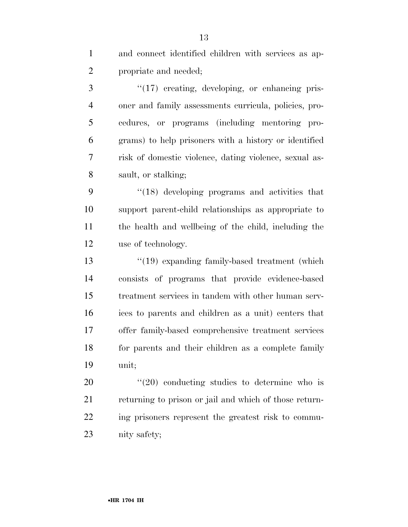and connect identified children with services as ap-propriate and needed;

3 "(17) creating, developing, or enhancing pris- oner and family assessments curricula, policies, pro- cedures, or programs (including mentoring pro- grams) to help prisoners with a history or identified risk of domestic violence, dating violence, sexual as-sault, or stalking;

 ''(18) developing programs and activities that support parent-child relationships as appropriate to the health and wellbeing of the child, including the use of technology.

 ''(19) expanding family-based treatment (which consists of programs that provide evidence-based treatment services in tandem with other human serv- ices to parents and children as a unit) centers that offer family-based comprehensive treatment services for parents and their children as a complete family unit;

  $\frac{4}{20}$  conducting studies to determine who is returning to prison or jail and which of those return- ing prisoners represent the greatest risk to commu-nity safety;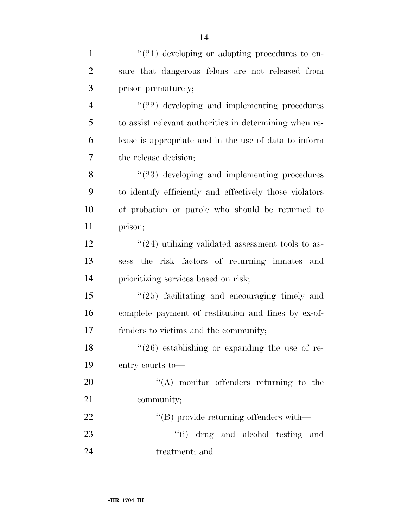| $\mathbf{1}$    | $"(21)$ developing or adopting procedures to en-             |
|-----------------|--------------------------------------------------------------|
| $\overline{2}$  | sure that dangerous felons are not released from             |
| 3               | prison prematurely;                                          |
| $\overline{4}$  | $\lq(22)$ developing and implementing procedures             |
| 5               | to assist relevant authorities in determining when re-       |
| 6               | lease is appropriate and in the use of data to inform        |
| 7               | the release decision;                                        |
| 8               | $\lq(23)$ developing and implementing procedures             |
| 9               | to identify efficiently and effectively those violators      |
| 10              | of probation or parole who should be returned to             |
| 11              | prison;                                                      |
| 12              | $\cdot\cdot(24)$ utilizing validated assessment tools to as- |
| 13              | sess the risk factors of returning inmates and               |
| 14              | prioritizing services based on risk;                         |
| 15              | $\lq(25)$ facilitating and encouraging timely and            |
| 16              | complete payment of restitution and fines by ex-of-          |
| 17              | fenders to victims and the community;                        |
| 18              | $(26)$ establishing or expanding the use of re-              |
| 19              | entry courts to-                                             |
| 20              | $\lq\lq$ monitor offenders returning to the                  |
| 21              | community;                                                   |
| 22              | $\lq$ (B) provide returning offenders with —                 |
| 23              | "(i) drug and alcohol testing and                            |
| $\overline{24}$ | $t$ and $t$ and $t$                                          |

treatment; and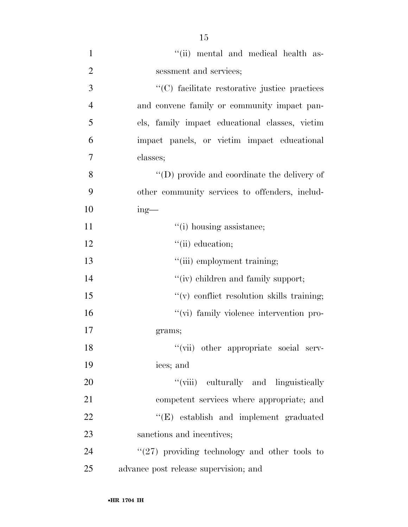| $\mathbf{1}$   | "(ii) mental and medical health as-                 |
|----------------|-----------------------------------------------------|
| $\overline{2}$ | sessment and services;                              |
| 3              | "(C) facilitate restorative justice practices       |
| $\overline{4}$ | and convene family or community impact pan-         |
| 5              | els, family impact educational classes, victim      |
| 6              | impact panels, or victim impact educational         |
| 7              | classes;                                            |
| 8              | $\lq\lq$ (D) provide and coordinate the delivery of |
| 9              | other community services to offenders, includ-      |
| 10             | $ing$ —                                             |
| 11             | "(i) housing assistance;                            |
| 12             | "(ii) education;                                    |
| 13             | "(iii) employment training;                         |
| 14             | "(iv) children and family support;                  |
| 15             | $``(v)$ conflict resolution skills training;        |
| 16             | "(vi) family violence intervention pro-             |
| 17             | grams;                                              |
| 18             | "(vii) other appropriate social serv-               |
| 19             | ices; and                                           |
| 20             | "(viii) culturally and linguistically               |
| 21             | competent services where appropriate; and           |
| 22             | "(E) establish and implement graduated              |
| 23             | sanctions and incentives;                           |
| 24             | $\lq(27)$ providing technology and other tools to   |
| 25             | advance post release supervision; and               |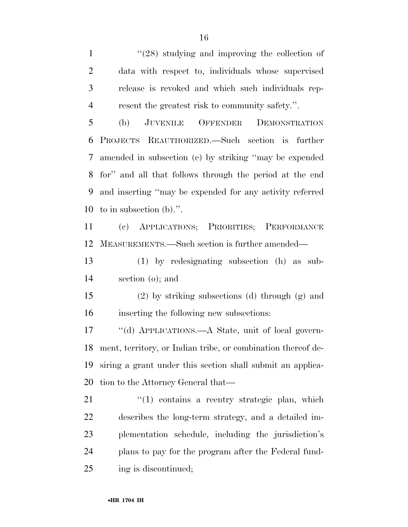1 ''(28) studying and improving the collection of data with respect to, individuals whose supervised release is revoked and which such individuals rep-resent the greatest risk to community safety.''.

 (b) JUVENILE OFFENDER DEMONSTRATION PROJECTS REAUTHORIZED.—Such section is further amended in subsection (c) by striking ''may be expended for'' and all that follows through the period at the end and inserting ''may be expended for any activity referred to in subsection (b).''.

 (c) APPLICATIONS; PRIORITIES; PERFORMANCE MEASUREMENTS.—Such section is further amended—

 (1) by redesignating subsection (h) as sub-section (o); and

 (2) by striking subsections (d) through (g) and inserting the following new subsections:

 ''(d) APPLICATIONS.—A State, unit of local govern- ment, territory, or Indian tribe, or combination thereof de- siring a grant under this section shall submit an applica-tion to the Attorney General that—

21 ''(1) contains a reentry strategic plan, which describes the long-term strategy, and a detailed im- plementation schedule, including the jurisdiction's plans to pay for the program after the Federal fund-ing is discontinued;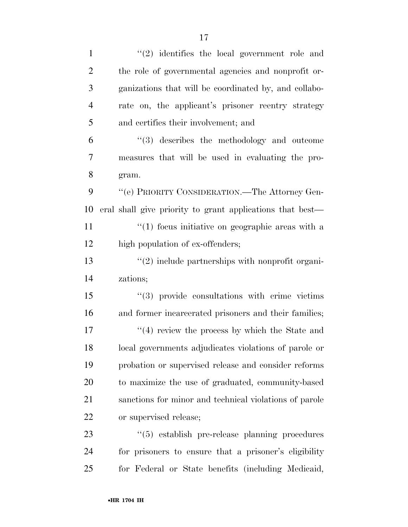| $\mathbf{1}$   | $(2)$ identifies the local government role and             |
|----------------|------------------------------------------------------------|
| $\overline{2}$ | the role of governmental agencies and nonprofit or-        |
| 3              | ganizations that will be coordinated by, and collabo-      |
| $\overline{4}$ | rate on, the applicant's prisoner reentry strategy         |
| 5              | and certifies their involvement; and                       |
| 6              | $\lq(3)$ describes the methodology and outcome             |
| 7              | measures that will be used in evaluating the pro-          |
| 8              | gram.                                                      |
| 9              | $\lq\lq (e)$ PRIORITY CONSIDERATION.—The Attorney Gen-     |
| 10             | eral shall give priority to grant applications that best—  |
| 11             | $\lq(1)$ focus initiative on geographic areas with a       |
| 12             | high population of ex-offenders;                           |
| 13             | $\lq(2)$ include partnerships with nonprofit organi-       |
| 14             | zations;                                                   |
| 15             | $\lq(3)$ provide consultations with crime victims          |
| 16             | and former incarcerated prisoners and their families;      |
| 17             | $\cdot$ (4) review the process by which the State and      |
| 18             | local governments adjudicates violations of parole or      |
| 19             | probation or supervised release and consider reforms       |
| 20             | to maximize the use of graduated, community-based          |
| 21             | sanctions for minor and technical violations of parole     |
| 22             | or supervised release;                                     |
| 23             | $\cdot\cdot$ (5) establish pre-release planning procedures |
| 24             | for prisoners to ensure that a prisoner's eligibility      |
| 25             | for Federal or State benefits (including Medicaid,         |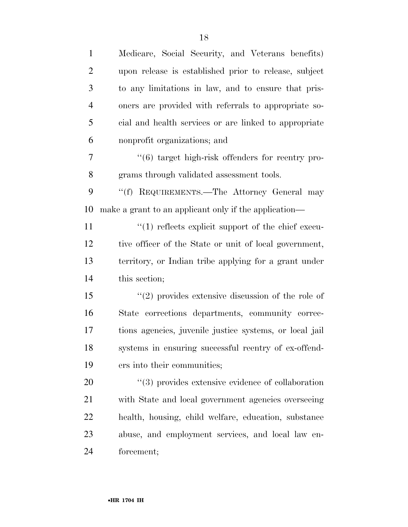| $\mathbf{1}$   | Medicare, Social Security, and Veterans benefits)                 |
|----------------|-------------------------------------------------------------------|
| $\overline{2}$ | upon release is established prior to release, subject             |
| 3              | to any limitations in law, and to ensure that pris-               |
| $\overline{4}$ | oners are provided with referrals to appropriate so-              |
| 5              | cial and health services or are linked to appropriate             |
| 6              | nonprofit organizations; and                                      |
| 7              | "(6) target high-risk offenders for reentry pro-                  |
| 8              | grams through validated assessment tools.                         |
| 9              | "(f) REQUIREMENTS.—The Attorney General may                       |
| 10             | make a grant to an applicant only if the application—             |
| 11             | $\lq(1)$ reflects explicit support of the chief execu-            |
| 12             | tive officer of the State or unit of local government,            |
| 13             | territory, or Indian tribe applying for a grant under             |
| 14             | this section;                                                     |
| 15             | $\cdot\cdot\cdot(2)$ provides extensive discussion of the role of |
| 16             | State corrections departments, community correc-                  |
| 17             | tions agencies, juvenile justice systems, or local jail           |
| 18             | systems in ensuring successful reentry of ex-offend-              |
| 19             | ers into their communities;                                       |
| <b>20</b>      | $\lq(3)$ provides extensive evidence of collaboration             |
| 21             | with State and local government agencies overseeing               |
| 22             | health, housing, child welfare, education, substance              |
| 23             | abuse, and employment services, and local law en-                 |
| 24             | forcement;                                                        |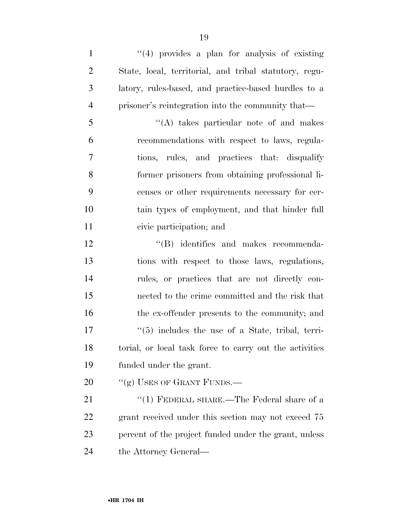1 ''(4) provides a plan for analysis of existing State, local, territorial, and tribal statutory, regu- latory, rules-based, and practice-based hurdles to a prisoner's reintegration into the community that— ''(A) takes particular note of and makes recommendations with respect to laws, regula- tions, rules, and practices that: disqualify former prisoners from obtaining professional li- censes or other requirements necessary for cer- tain types of employment, and that hinder full civic participation; and  $\text{``(B)}$  identifies and makes recommenda-

 tions with respect to those laws, regulations, rules, or practices that are not directly con- nected to the crime committed and the risk that 16 the ex-offender presents to the community; and  $\frac{17}{5}$  includes the use of a State, tribal, terri-18 torial, or local task force to carry out the activities funded under the grant.

20 "(g) USES OF GRANT FUNDS.—

21 ''(1) FEDERAL SHARE.—The Federal share of a grant received under this section may not exceed 75 percent of the project funded under the grant, unless 24 the Attorney General—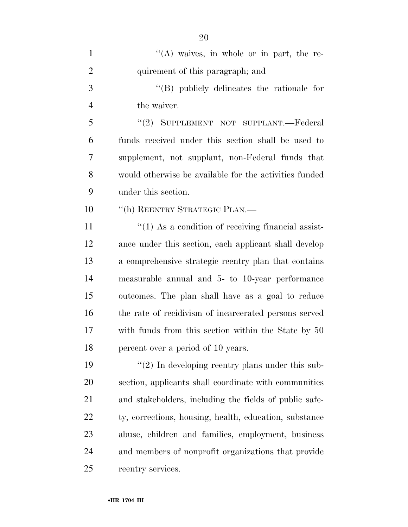| $\mathbf{1}$   | $\lq\lq(A)$ waives, in whole or in part, the re-       |
|----------------|--------------------------------------------------------|
| $\overline{2}$ | quirement of this paragraph; and                       |
| 3              | $\lq\lq$ (B) publicly delineates the rationale for     |
| $\overline{4}$ | the waiver.                                            |
| 5              | "(2) SUPPLEMENT NOT SUPPLANT.—Federal                  |
| 6              | funds received under this section shall be used to     |
| 7              | supplement, not supplant, non-Federal funds that       |
| 8              | would otherwise be available for the activities funded |
| 9              | under this section.                                    |
| 10             | "(h) REENTRY STRATEGIC PLAN.—                          |
| 11             | $\lq(1)$ As a condition of receiving financial assist- |
| 12             | ance under this section, each applicant shall develop  |
| 13             | a comprehensive strategic reentry plan that contains   |
| 14             | measurable annual and 5- to 10-year performance        |
| 15             | outcomes. The plan shall have as a goal to reduce      |
| 16             | the rate of recidivism of incarcerated persons served  |
| 17             | with funds from this section within the State by 50    |
| 18             | percent over a period of 10 years.                     |
| 19             | $\lq(2)$ In developing reentry plans under this sub-   |
| 20             | section, applicants shall coordinate with communities  |
| 21             | and stakeholders, including the fields of public safe- |
| 22             | ty, corrections, housing, health, education, substance |
| 23             | abuse, children and families, employment, business     |
| 24             | and members of nonprofit organizations that provide    |
| 25             | reentry services.                                      |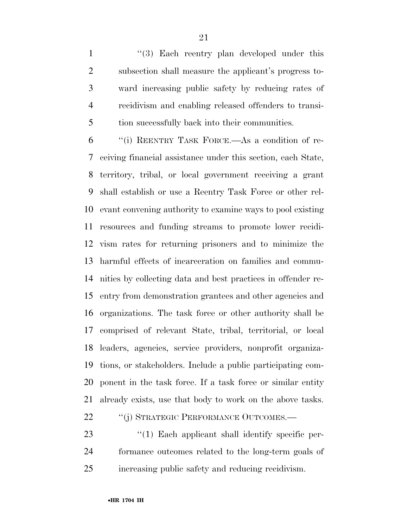1 ''(3) Each reentry plan developed under this subsection shall measure the applicant's progress to- ward increasing public safety by reducing rates of recidivism and enabling released offenders to transi-tion successfully back into their communities.

 ''(i) REENTRY TASK FORCE.—As a condition of re- ceiving financial assistance under this section, each State, territory, tribal, or local government receiving a grant shall establish or use a Reentry Task Force or other rel- evant convening authority to examine ways to pool existing resources and funding streams to promote lower recidi- vism rates for returning prisoners and to minimize the harmful effects of incarceration on families and commu- nities by collecting data and best practices in offender re- entry from demonstration grantees and other agencies and organizations. The task force or other authority shall be comprised of relevant State, tribal, territorial, or local leaders, agencies, service providers, nonprofit organiza- tions, or stakeholders. Include a public participating com- ponent in the task force. If a task force or similar entity already exists, use that body to work on the above tasks.

22 "(j) STRATEGIC PERFORMANCE OUTCOMES.—

23 ''(1) Each applicant shall identify specific per- formance outcomes related to the long-term goals of increasing public safety and reducing recidivism.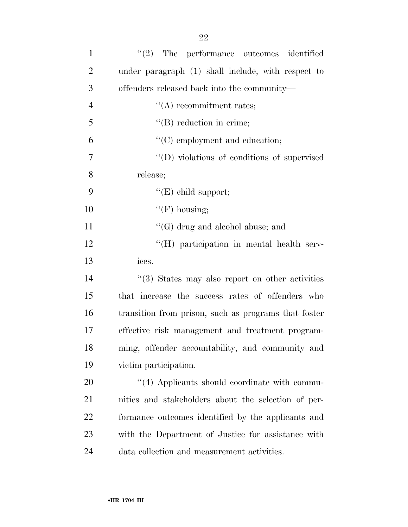| $\mathbf{1}$   | (2)<br>The performance outcomes identified           |
|----------------|------------------------------------------------------|
| $\overline{2}$ | under paragraph (1) shall include, with respect to   |
| 3              | offenders released back into the community—          |
| $\overline{4}$ | $\lq\lq$ recommitment rates;                         |
| 5              | $\lq\lq$ reduction in crime;                         |
| 6              | "(C) employment and education;                       |
| 7              | "(D) violations of conditions of supervised          |
| 8              | release;                                             |
| 9              | " $(E)$ child support;                               |
| 10             | $\lq\lq(F)$ housing;                                 |
| 11             | $\lq\lq(G)$ drug and alcohol abuse; and              |
| 12             | "(H) participation in mental health serv-            |
| 13             | ices.                                                |
| 14             | "(3) States may also report on other activities      |
| 15             | that increase the success rates of offenders who     |
| 16             | transition from prison, such as programs that foster |
| 17             | effective risk management and treatment program-     |
| 18             | ming, offender accountability, and community and     |
| 19             | victim participation.                                |
| 20             | "(4) Applicants should coordinate with commu-        |
| 21             | nities and stakeholders about the selection of per-  |
| 22             | formance outcomes identified by the applicants and   |
| 23             | with the Department of Justice for assistance with   |
| 24             | data collection and measurement activities.          |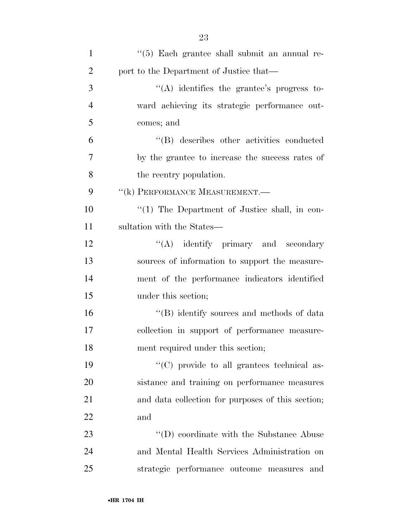| $\mathbf{1}$   | "(5) Each grantee shall submit an annual re-      |
|----------------|---------------------------------------------------|
| $\overline{2}$ | port to the Department of Justice that—           |
| 3              | $\lq\lq$ identifies the grantee's progress to-    |
| $\overline{4}$ | ward achieving its strategic performance out-     |
| 5              | comes; and                                        |
| 6              | "(B) describes other activities conducted         |
| $\overline{7}$ | by the grantee to increase the success rates of   |
| 8              | the reentry population.                           |
| 9              | "(k) PERFORMANCE MEASUREMENT.                     |
| 10             | "(1) The Department of Justice shall, in con-     |
| 11             | sultation with the States—                        |
| 12             | $\lq\lq$ identify primary and secondary           |
| 13             | sources of information to support the measure-    |
| 14             | ment of the performance indicators identified     |
| 15             | under this section;                               |
| 16             | "(B) identify sources and methods of data         |
| 17             | collection in support of performance measure-     |
| 18             | ment required under this section;                 |
| 19             | "(C) provide to all grantees technical as-        |
| 20             | sistance and training on performance measures     |
| 21             | and data collection for purposes of this section; |
| 22             | and                                               |
| 23             | "(D) coordinate with the Substance Abuse          |
| 24             | and Mental Health Services Administration on      |
| 25             | strategic performance outcome measures<br>and     |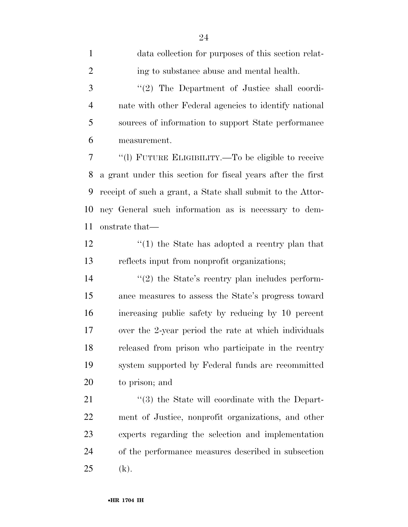| $\mathbf{1}$   | data collection for purposes of this section relat-         |
|----------------|-------------------------------------------------------------|
| $\overline{2}$ | ing to substance abuse and mental health.                   |
| 3              | "(2) The Department of Justice shall coordi-                |
| $\overline{4}$ | nate with other Federal agencies to identify national       |
| 5              | sources of information to support State performance         |
| 6              | measurement.                                                |
| $\tau$         | "(1) FUTURE ELIGIBILITY.—To be eligible to receive          |
| 8              | a grant under this section for fiscal years after the first |
| 9              | receipt of such a grant, a State shall submit to the Attor- |
| 10             | ney General such information as is necessary to dem-        |
| 11             | onstrate that—                                              |
| 12             | $\cdot$ (1) the State has adopted a reentry plan that       |
| 13             | reflects input from nonprofit organizations;                |
| 14             | $\lq(2)$ the State's reentry plan includes perform-         |
| 15             | ance measures to assess the State's progress toward         |
| 16             | increasing public safety by reducing by 10 percent          |
| 17             | over the 2-year period the rate at which individuals        |
| 18             | released from prison who participate in the reentry         |
| 19             | system supported by Federal funds are recommitted           |
| 20             | to prison; and                                              |
| 21             | "(3) the State will coordinate with the Depart-             |
| 22             | ment of Justice, nonprofit organizations, and other         |
| 23             | experts regarding the selection and implementation          |
| 24             | of the performance measures described in subsection         |
| 25             | (k).                                                        |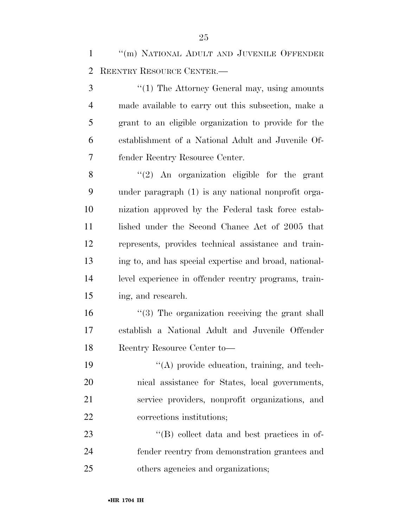1 "(m) NATIONAL ADULT AND JUVENILE OFFENDER REENTRY RESOURCE CENTER.—

3 ''(1) The Attorney General may, using amounts made available to carry out this subsection, make a grant to an eligible organization to provide for the establishment of a National Adult and Juvenile Of-fender Reentry Resource Center.

8 "(2) An organization eligible for the grant under paragraph (1) is any national nonprofit orga- nization approved by the Federal task force estab-11 lished under the Second Chance Act of 2005 that represents, provides technical assistance and train- ing to, and has special expertise and broad, national- level experience in offender reentry programs, train-ing, and research.

16 ''(3) The organization receiving the grant shall establish a National Adult and Juvenile Offender Reentry Resource Center to—

 ''(A) provide education, training, and tech- nical assistance for States, local governments, service providers, nonprofit organizations, and corrections institutions;

23 ''(B) collect data and best practices in of- fender reentry from demonstration grantees and others agencies and organizations;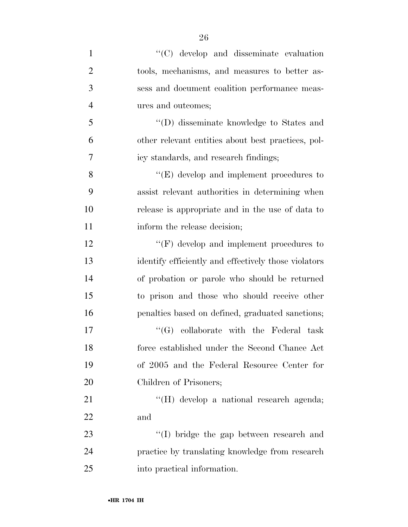| $\mathbf{1}$   | $\lq\lq$ (C) develop and disseminate evaluation      |
|----------------|------------------------------------------------------|
| $\overline{2}$ | tools, mechanisms, and measures to better as-        |
| 3              | sess and document coalition performance meas-        |
| $\overline{4}$ | ures and outcomes;                                   |
| 5              | "(D) disseminate knowledge to States and             |
| 6              | other relevant entities about best practices, pol-   |
| 7              | icy standards, and research findings;                |
| 8              | $\lq\lq(E)$ develop and implement procedures to      |
| 9              | assist relevant authorities in determining when      |
| 10             | release is appropriate and in the use of data to     |
| 11             | inform the release decision;                         |
| 12             | $\lq\lq(F)$ develop and implement procedures to      |
| 13             | identify efficiently and effectively those violators |
| 14             | of probation or parole who should be returned        |
| 15             | to prison and those who should receive other         |
| 16             | penalties based on defined, graduated sanctions;     |
| 17             | "(G) collaborate with the Federal task               |
| 18             | force established under the Second Chance Act        |
| 19             | of 2005 and the Federal Resource Center for          |
| 20             | Children of Prisoners;                               |
| 21             | "(H) develop a national research agenda;             |
| 22             | and                                                  |
| 23             | "(I) bridge the gap between research and             |
| 24             | practice by translating knowledge from research      |
| 25             | into practical information.                          |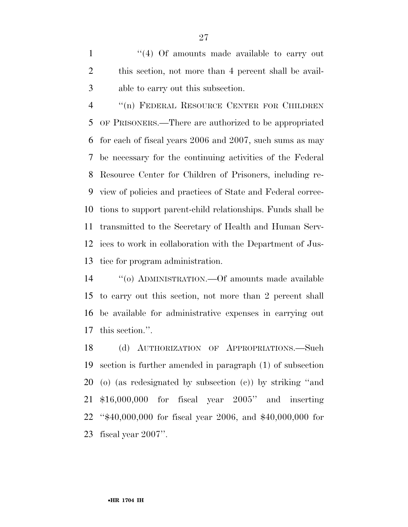1 ''(4) Of amounts made available to carry out this section, not more than 4 percent shall be avail-able to carry out this subsection.

 ''(n) FEDERAL RESOURCE CENTER FOR CHILDREN OF PRISONERS.—There are authorized to be appropriated for each of fiscal years 2006 and 2007, such sums as may be necessary for the continuing activities of the Federal Resource Center for Children of Prisoners, including re- view of policies and practices of State and Federal correc- tions to support parent-child relationships. Funds shall be transmitted to the Secretary of Health and Human Serv- ices to work in collaboration with the Department of Jus-tice for program administration.

 ''(o) ADMINISTRATION.—Of amounts made available to carry out this section, not more than 2 percent shall be available for administrative expenses in carrying out this section.''.

 (d) AUTHORIZATION OF APPROPRIATIONS.—Such section is further amended in paragraph (1) of subsection (o) (as redesignated by subsection (c)) by striking ''and \$16,000,000 for fiscal year 2005'' and inserting ''\$40,000,000 for fiscal year 2006, and \$40,000,000 for fiscal year 2007''.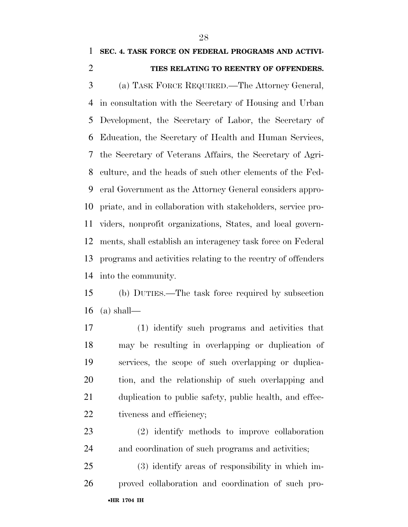### **SEC. 4. TASK FORCE ON FEDERAL PROGRAMS AND ACTIVI-TIES RELATING TO REENTRY OF OFFENDERS.**

 (a) TASK FORCE REQUIRED.—The Attorney General, in consultation with the Secretary of Housing and Urban Development, the Secretary of Labor, the Secretary of Education, the Secretary of Health and Human Services, the Secretary of Veterans Affairs, the Secretary of Agri- culture, and the heads of such other elements of the Fed- eral Government as the Attorney General considers appro- priate, and in collaboration with stakeholders, service pro- viders, nonprofit organizations, States, and local govern- ments, shall establish an interagency task force on Federal programs and activities relating to the reentry of offenders into the community.

 (b) DUTIES.—The task force required by subsection (a) shall—

 (1) identify such programs and activities that may be resulting in overlapping or duplication of services, the scope of such overlapping or duplica- tion, and the relationship of such overlapping and duplication to public safety, public health, and effec-22 tiveness and efficiency;

 (2) identify methods to improve collaboration and coordination of such programs and activities;

•**HR 1704 IH**  (3) identify areas of responsibility in which im-proved collaboration and coordination of such pro-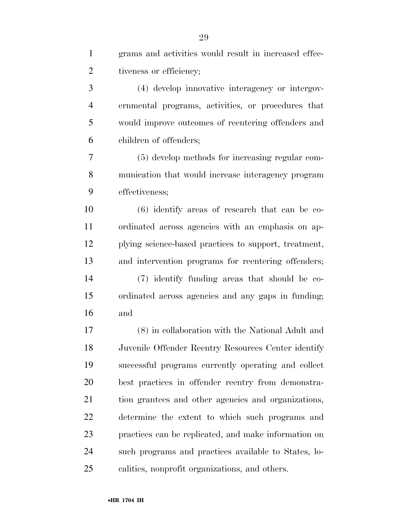| $\mathbf{1}$   | grams and activities would result in increased effec- |
|----------------|-------------------------------------------------------|
| $\overline{2}$ | tiveness or efficiency;                               |
| 3              | (4) develop innovative interagency or intergov-       |
| 4              | ernmental programs, activities, or procedures that    |
| 5              | would improve outcomes of reentering offenders and    |
| 6              | children of offenders;                                |
| 7              | (5) develop methods for increasing regular com-       |
| 8              | munication that would increase interagency program    |
| 9              | effectiveness;                                        |
| 10             | $(6)$ identify areas of research that can be co-      |
| 11             | ordinated across agencies with an emphasis on ap-     |
| 12             | plying science-based practices to support, treatment, |
| 13             | and intervention programs for reentering offenders;   |
| 14             | (7) identify funding areas that should be co-         |
| 15             | ordinated across agencies and any gaps in funding;    |
| 16             | and                                                   |
| 17             | (8) in collaboration with the National Adult and      |
| 18             | Juvenile Offender Reentry Resources Center identify   |
| 19             | successful programs currently operating and collect   |
| 20             | best practices in offender reentry from demonstra-    |
| 21             | tion grantees and other agencies and organizations,   |
| 22             | determine the extent to which such programs and       |
| 23             | practices can be replicated, and make information on  |
| 24             | such programs and practices available to States, lo-  |
| 25             | calities, nonprofit organizations, and others.        |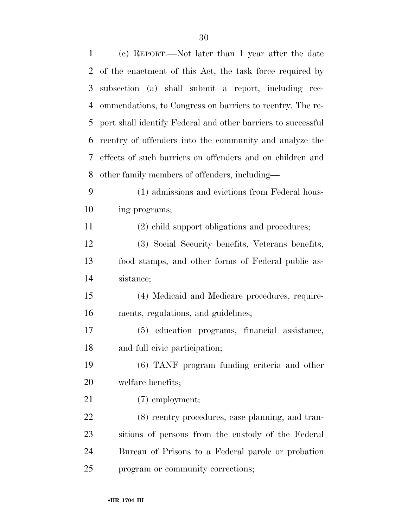| $\mathbf{1}$ | (c) REPORT.—Not later than 1 year after the date             |
|--------------|--------------------------------------------------------------|
| 2            | of the enactment of this Act, the task force required by     |
| 3            | subsection (a) shall submit a report, including rec-         |
| 4            | ommendations, to Congress on barriers to reentry. The re-    |
| 5            | port shall identify Federal and other barriers to successful |
| 6            | reentry of offenders into the community and analyze the      |
| 7            | effects of such barriers on offenders and on children and    |
| 8            | other family members of offenders, including—                |
| 9            | (1) admissions and evictions from Federal hous-              |
| 10           | ing programs;                                                |
| 11           | (2) child support obligations and procedures;                |
| 12           | (3) Social Security benefits, Veterans benefits,             |
| 13           | food stamps, and other forms of Federal public as-           |
| 14           | sistance;                                                    |
| 15           | (4) Medicaid and Medicare procedures, require-               |
| 16           | ments, regulations, and guidelines;                          |
| 17           | (5) education programs, financial assistance,                |
| 18           | and full civic participation;                                |
| 19           | (6) TANF program funding criteria and other                  |
| 20           | welfare benefits;                                            |
| 21           | $(7)$ employment;                                            |
| 22           | (8) reentry procedures, case planning, and tran-             |
| 23           | sitions of persons from the custody of the Federal           |
| 24           | Bureau of Prisons to a Federal parole or probation           |
| 25           | program or community corrections;                            |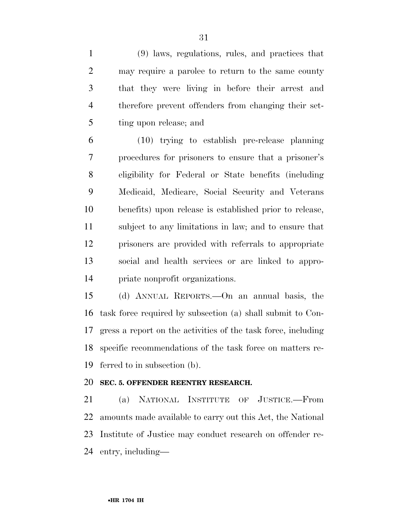(9) laws, regulations, rules, and practices that may require a parolee to return to the same county that they were living in before their arrest and therefore prevent offenders from changing their set-ting upon release; and

 (10) trying to establish pre-release planning procedures for prisoners to ensure that a prisoner's eligibility for Federal or State benefits (including Medicaid, Medicare, Social Security and Veterans benefits) upon release is established prior to release, subject to any limitations in law; and to ensure that prisoners are provided with referrals to appropriate social and health services or are linked to appro-priate nonprofit organizations.

 (d) ANNUAL REPORTS.—On an annual basis, the task force required by subsection (a) shall submit to Con- gress a report on the activities of the task force, including specific recommendations of the task force on matters re-ferred to in subsection (b).

### **SEC. 5. OFFENDER REENTRY RESEARCH.**

 (a) NATIONAL INSTITUTE OF JUSTICE.—From amounts made available to carry out this Act, the National Institute of Justice may conduct research on offender re-entry, including—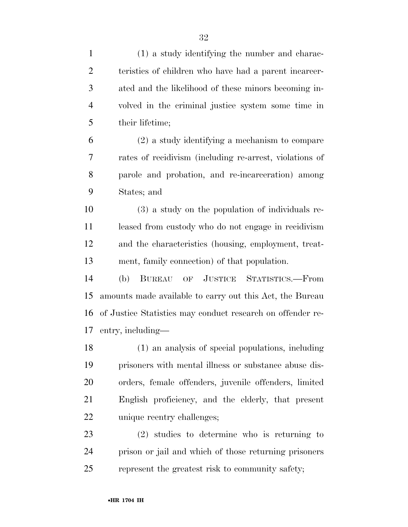| $\mathbf{1}$   | (1) a study identifying the number and charac-             |
|----------------|------------------------------------------------------------|
| $\overline{2}$ | teristics of children who have had a parent incarcer-      |
| 3              | ated and the likelihood of these minors becoming in-       |
| $\overline{4}$ | volved in the criminal justice system some time in         |
| 5              | their lifetime;                                            |
| 6              | $(2)$ a study identifying a mechanism to compare           |
| 7              | rates of recidivism (including re-arrest, violations of    |
| 8              | parole and probation, and re-incarceration) among          |
| 9              | States; and                                                |
| 10             | (3) a study on the population of individuals re-           |
| 11             | leased from custody who do not engage in recidivism        |
| 12             | and the characteristics (housing, employment, treat-       |
| 13             | ment, family connection) of that population.               |
| 14             | OF JUSTICE STATISTICS.—From<br>(b)<br><b>BUREAU</b>        |
| 15             | amounts made available to carry out this Act, the Bureau   |
| 16             | of Justice Statistics may conduct research on offender re- |
| 17             | entry, including—                                          |
| 18             | (1) an analysis of special populations, including          |
| 19             | prisoners with mental illness or substance abuse dis-      |
| 20             | orders, female offenders, juvenile offenders, limited      |
| 21             | English proficiency, and the elderly, that present         |
| 22             | unique reentry challenges;                                 |
| 23             | $(2)$ studies to determine who is returning to             |
| 24             | prison or jail and which of those returning prisoners      |
| 25             | represent the greatest risk to community safety;           |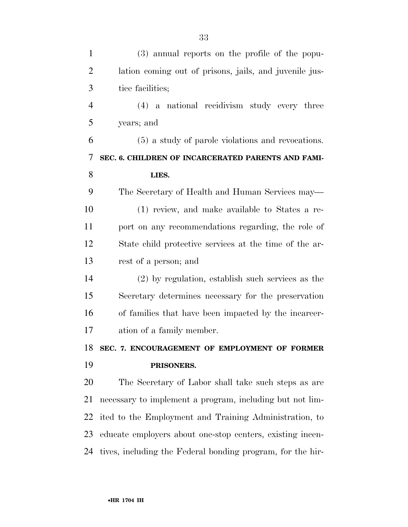| $\mathbf{1}$   | (3) annual reports on the profile of the popu-             |
|----------------|------------------------------------------------------------|
| $\overline{2}$ | lation coming out of prisons, jails, and juvenile jus-     |
| 3              | tice facilities;                                           |
| 4              | (4) a national recidivism study every three                |
| 5              | years; and                                                 |
| 6              | (5) a study of parole violations and revocations.          |
| 7              | SEC. 6. CHILDREN OF INCARCERATED PARENTS AND FAMI-         |
| 8              | LIES.                                                      |
| 9              | The Secretary of Health and Human Services may—            |
| 10             | (1) review, and make available to States a re-             |
| 11             | port on any recommendations regarding, the role of         |
| 12             | State child protective services at the time of the ar-     |
| 13             | rest of a person; and                                      |
| 14             | $(2)$ by regulation, establish such services as the        |
| 15             | Secretary determines necessary for the preservation        |
| 16             | of families that have been impacted by the incarcer-       |
| 17             | ation of a family member.                                  |
| 18             | SEC. 7. ENCOURAGEMENT OF EMPLOYMENT OF FORMER              |
| 19             | PRISONERS.                                                 |
| 20             | The Secretary of Labor shall take such steps as are        |
| 21             | necessary to implement a program, including but not lim-   |
| 22             | ited to the Employment and Training Administration, to     |
| 23             | educate employers about one-stop centers, existing incen-  |
| 24             | tives, including the Federal bonding program, for the hir- |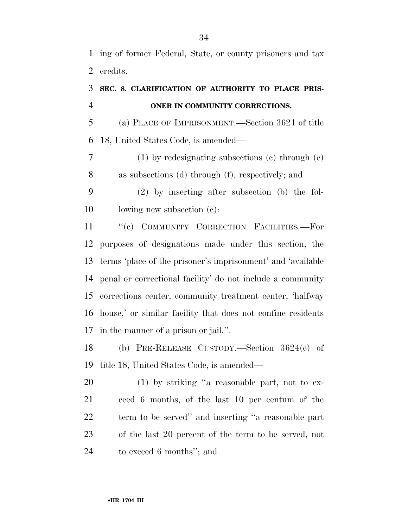ing of former Federal, State, or county prisoners and tax credits.

### **SEC. 8. CLARIFICATION OF AUTHORITY TO PLACE PRIS-ONER IN COMMUNITY CORRECTIONS.**

 (a) PLACE OF IMPRISONMENT.—Section 3621 of title 18, United States Code, is amended—

 (1) by redesignating subsections (c) through (e) as subsections (d) through (f), respectively; and

 (2) by inserting after subsection (b) the fol-lowing new subsection (c):

11 "(c) COMMUNITY CORRECTION FACILITIES.—For purposes of designations made under this section, the terms 'place of the prisoner's imprisonment' and 'available penal or correctional facility' do not include a community corrections center, community treatment center, 'halfway house,' or similar facility that does not confine residents in the manner of a prison or jail.''.

 (b) PRE-RELEASE CUSTODY.—Section 3624(c) of title 18, United States Code, is amended—

 (1) by striking ''a reasonable part, not to ex- ceed 6 months, of the last 10 per centum of the term to be served'' and inserting ''a reasonable part of the last 20 percent of the term to be served, not to exceed 6 months''; and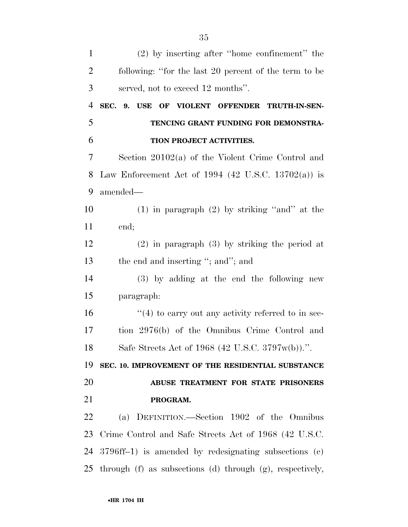| $\mathbf{1}$   | (2) by inserting after "home confinement" the             |
|----------------|-----------------------------------------------------------|
| $\overline{2}$ | following: "for the last 20 percent of the term to be     |
| 3              | served, not to exceed 12 months".                         |
| $\overline{4}$ | SEC. 9. USE OF VIOLENT OFFENDER TRUTH-IN-SEN-             |
| 5              | TENCING GRANT FUNDING FOR DEMONSTRA-                      |
| 6              | TION PROJECT ACTIVITIES.                                  |
| 7              | Section $20102(a)$ of the Violent Crime Control and       |
| 8              | Law Enforcement Act of 1994 (42 U.S.C. 13702(a)) is       |
| 9              | amended—                                                  |
| 10             | $(1)$ in paragraph $(2)$ by striking "and" at the         |
| 11             | end;                                                      |
| 12             | $(2)$ in paragraph $(3)$ by striking the period at        |
| 13             | the end and inserting "; and"; and                        |
| 14             | (3) by adding at the end the following new                |
| 15             | paragraph:                                                |
| 16             | $\cdot$ (4) to carry out any activity referred to in sec- |
| 17             | tion 2976(b) of the Omnibus Crime Control and             |
| 18             | Safe Streets Act of 1968 (42 U.S.C. 3797w(b)).".          |
| 19             | SEC. 10. IMPROVEMENT OF THE RESIDENTIAL SUBSTANCE         |
| 20             | ABUSE TREATMENT FOR STATE PRISONERS                       |
| 21             | PROGRAM.                                                  |
| 22             | (a) DEFINITION.—Section 1902 of the Omnibus               |
| 23             | Crime Control and Safe Streets Act of 1968 (42 U.S.C.     |
| 24             | $3796ff-1$ ) is amended by redesignating subsections (c)  |
| 25             | through (f) as subsections (d) through (g), respectively, |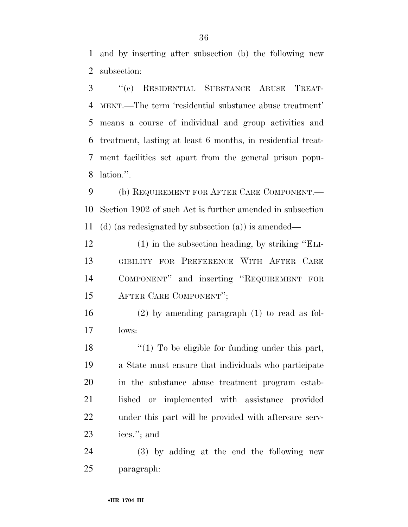and by inserting after subsection (b) the following new subsection:

 ''(c) RESIDENTIAL SUBSTANCE ABUSE TREAT- MENT.—The term 'residential substance abuse treatment' means a course of individual and group activities and treatment, lasting at least 6 months, in residential treat- ment facilities set apart from the general prison popu-lation.''.

 (b) REQUIREMENT FOR AFTER CARE COMPONENT.— Section 1902 of such Act is further amended in subsection (d) (as redesignated by subsection (a)) is amended—

 (1) in the subsection heading, by striking ''ELI- GIBILITY FOR PREFERENCE WITH AFTER CARE COMPONENT'' and inserting ''REQUIREMENT FOR AFTER CARE COMPONENT'';

 (2) by amending paragraph (1) to read as fol-lows:

18 ''(1) To be eligible for funding under this part, a State must ensure that individuals who participate in the substance abuse treatment program estab- lished or implemented with assistance provided under this part will be provided with aftercare serv-ices.''; and

 (3) by adding at the end the following new paragraph: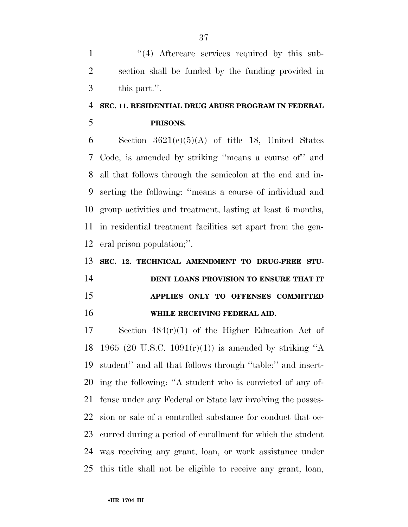1 ''(4) Aftercare services required by this sub- section shall be funded by the funding provided in this part.''.

## **SEC. 11. RESIDENTIAL DRUG ABUSE PROGRAM IN FEDERAL**

**PRISONS.** 

6 Section  $3621(e)(5)(A)$  of title 18, United States Code, is amended by striking ''means a course of'' and all that follows through the semicolon at the end and in- serting the following: ''means a course of individual and group activities and treatment, lasting at least 6 months, in residential treatment facilities set apart from the gen-eral prison population;''.

 **SEC. 12. TECHNICAL AMENDMENT TO DRUG-FREE STU- DENT LOANS PROVISION TO ENSURE THAT IT APPLIES ONLY TO OFFENSES COMMITTED WHILE RECEIVING FEDERAL AID.** 

 Section 484(r)(1) of the Higher Education Act of 18 1965 (20 U.S.C. 1091 $(r)(1)$ ) is amended by striking "A student'' and all that follows through ''table:'' and insert- ing the following: ''A student who is convicted of any of- fense under any Federal or State law involving the posses- sion or sale of a controlled substance for conduct that oc- curred during a period of enrollment for which the student was receiving any grant, loan, or work assistance under this title shall not be eligible to receive any grant, loan,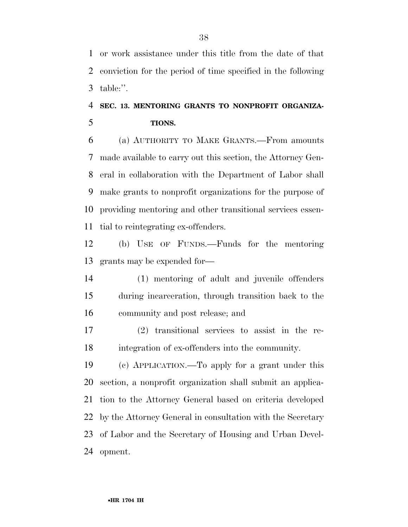or work assistance under this title from the date of that conviction for the period of time specified in the following table:''.

### **SEC. 13. MENTORING GRANTS TO NONPROFIT ORGANIZA-TIONS.**

 (a) AUTHORITY TO MAKE GRANTS.—From amounts made available to carry out this section, the Attorney Gen- eral in collaboration with the Department of Labor shall make grants to nonprofit organizations for the purpose of providing mentoring and other transitional services essen-tial to reintegrating ex-offenders.

 (b) USE OF FUNDS.—Funds for the mentoring grants may be expended for—

 (1) mentoring of adult and juvenile offenders during incarceration, through transition back to the community and post release; and

 (2) transitional services to assist in the re-integration of ex-offenders into the community.

 (c) APPLICATION.—To apply for a grant under this section, a nonprofit organization shall submit an applica- tion to the Attorney General based on criteria developed by the Attorney General in consultation with the Secretary of Labor and the Secretary of Housing and Urban Devel-opment.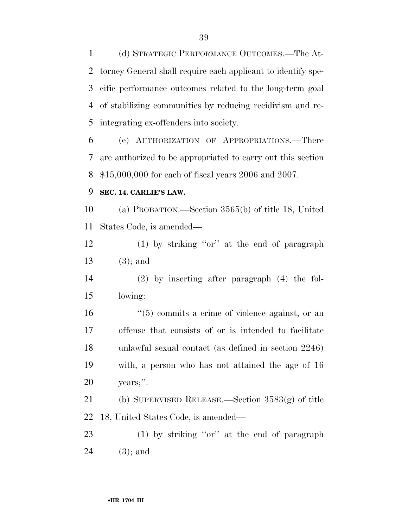(d) STRATEGIC PERFORMANCE OUTCOMES.—The At- torney General shall require each applicant to identify spe- cific performance outcomes related to the long-term goal of stabilizing communities by reducing recidivism and re-integrating ex-offenders into society.

 (e) AUTHORIZATION OF APPROPRIATIONS.—There are authorized to be appropriated to carry out this section \$15,000,000 for each of fiscal years 2006 and 2007.

#### **SEC. 14. CARLIE'S LAW.**

 (a) PROBATION.—Section 3565(b) of title 18, United States Code, is amended—

 (1) by striking ''or'' at the end of paragraph (3); and

 (2) by inserting after paragraph (4) the fol-lowing:

16 ''(5) commits a crime of violence against, or an offense that consists of or is intended to facilitate unlawful sexual contact (as defined in section 2246) with, a person who has not attained the age of 16 years;''.

 (b) SUPERVISED RELEASE.—Section 3583(g) of title 18, United States Code, is amended—

 (1) by striking ''or'' at the end of paragraph (3); and